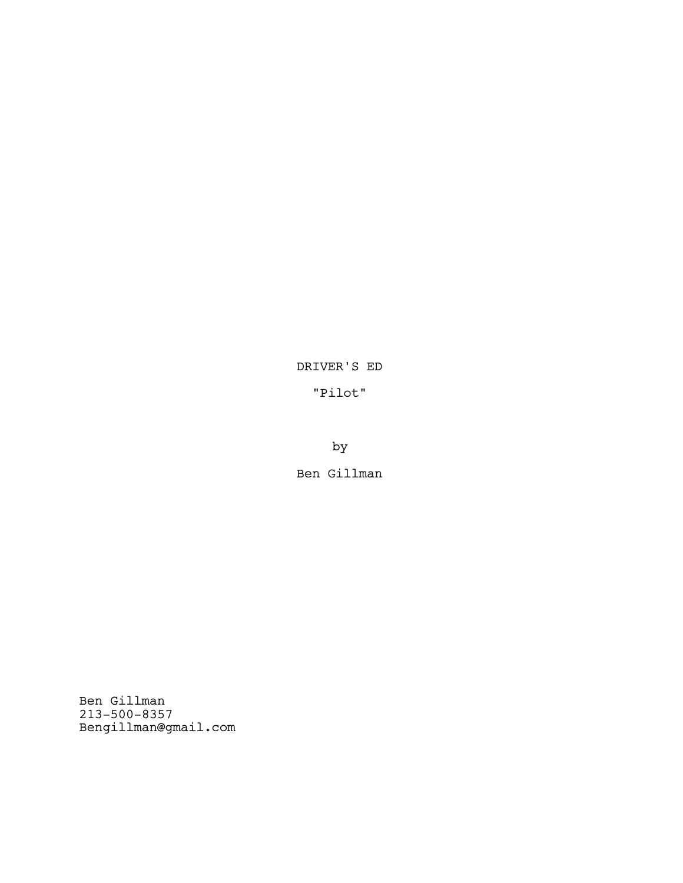DRIVER'S ED

"Pilot"

by

Ben Gillman

Ben Gillman 213-500-8357 Bengillman@gmail.com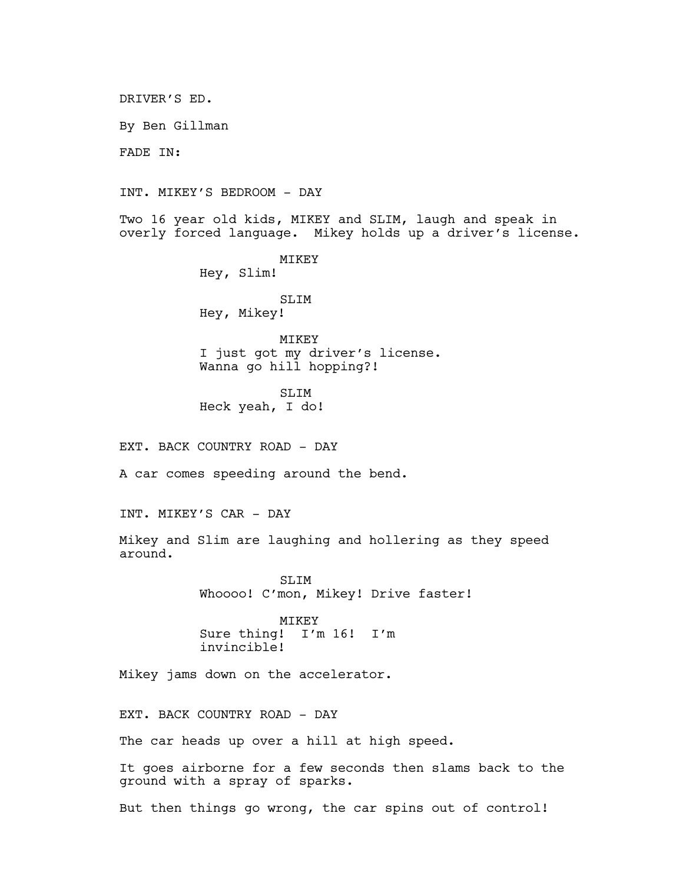DRIVER'S ED.

By Ben Gillman

FADE IN:

INT. MIKEY'S BEDROOM - DAY

Two 16 year old kids, MIKEY and SLIM, laugh and speak in overly forced language. Mikey holds up a driver's license.

> MIKEY Hey, Slim! SLIM

Hey, Mikey!

**MTKEY** I just got my driver's license. Wanna go hill hopping?!

SLIM Heck yeah, I do!

EXT. BACK COUNTRY ROAD - DAY

A car comes speeding around the bend.

INT. MIKEY'S CAR - DAY

Mikey and Slim are laughing and hollering as they speed around.

> SLIM Whoooo! C'mon, Mikey! Drive faster!

MIKEY<br>Sure thing! I'm I'm 16! I'm invincible!

Mikey jams down on the accelerator.

EXT. BACK COUNTRY ROAD - DAY

The car heads up over a hill at high speed.

It goes airborne for a few seconds then slams back to the ground with a spray of sparks.

But then things go wrong, the car spins out of control!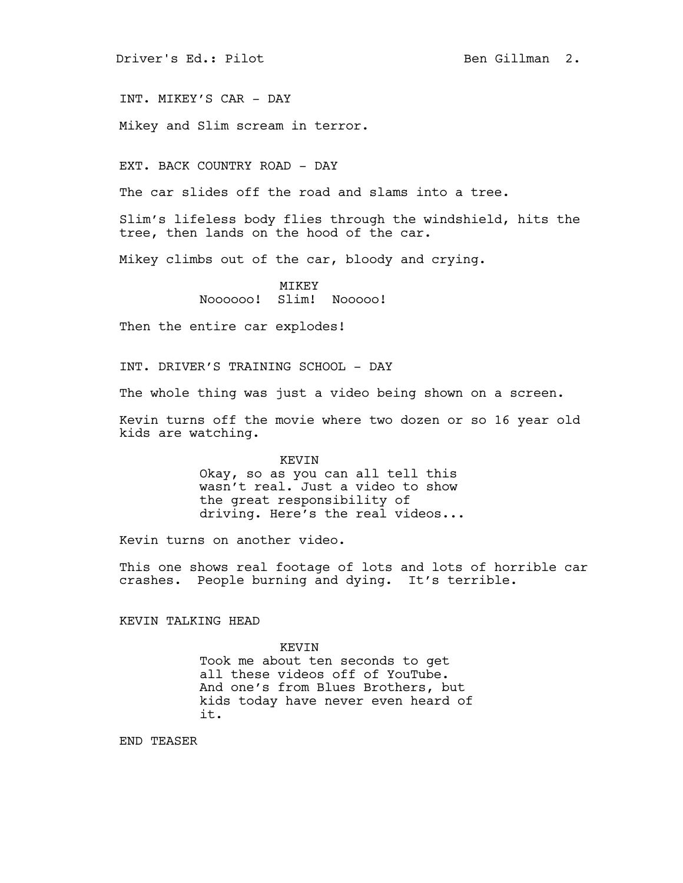Driver's Ed.: Pilot Ben Gillman 2.

INT. MIKEY'S CAR - DAY

Mikey and Slim scream in terror.

EXT. BACK COUNTRY ROAD - DAY

The car slides off the road and slams into a tree.

Slim's lifeless body flies through the windshield, hits the tree, then lands on the hood of the car.

Mikey climbs out of the car, bloody and crying.

**MTKEY** Noooooo! Slim! Nooooo!

Then the entire car explodes!

INT. DRIVER'S TRAINING SCHOOL - DAY

The whole thing was just a video being shown on a screen.

Kevin turns off the movie where two dozen or so 16 year old kids are watching.

> KEVIN Okay, so as you can all tell this wasn't real. Just a video to show the great responsibility of driving. Here's the real videos...

Kevin turns on another video.

This one shows real footage of lots and lots of horrible car crashes. People burning and dying. It's terrible.

KEVIN TALKING HEAD

KEVIN Took me about ten seconds to get all these videos off of YouTube. And one's from Blues Brothers, but kids today have never even heard of it.

END TEASER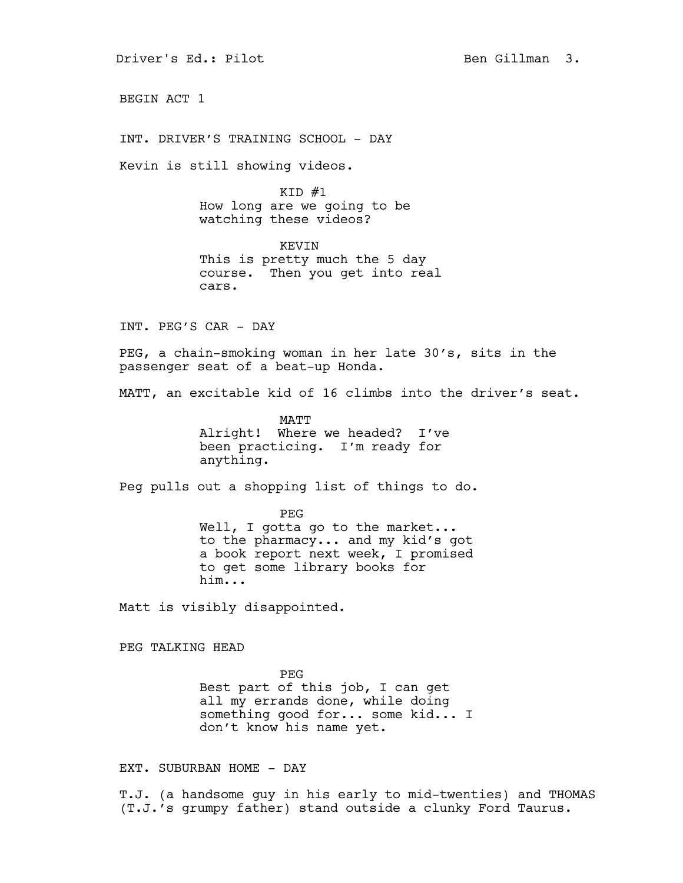Driver's Ed.: Pilot Ben Gillman 3.

BEGIN ACT 1

INT. DRIVER'S TRAINING SCHOOL - DAY

Kevin is still showing videos.

 $KID$   $#1$ How long are we going to be watching these videos?

KEVIN This is pretty much the 5 day course. Then you get into real cars.

INT. PEG'S CAR - DAY

PEG, a chain-smoking woman in her late 30's, sits in the passenger seat of a beat-up Honda.

MATT, an excitable kid of 16 climbs into the driver's seat.

MATT Alright! Where we headed? I've been practicing. I'm ready for anything.

Peg pulls out a shopping list of things to do.

PEG Well, I gotta go to the market... to the pharmacy... and my kid's got a book report next week, I promised to get some library books for him...

Matt is visibly disappointed.

PEG TALKING HEAD

PEG Best part of this job, I can get all my errands done, while doing something good for... some kid... I don't know his name yet.

EXT. SUBURBAN HOME - DAY

T.J. (a handsome guy in his early to mid-twenties) and THOMAS (T.J.'s grumpy father) stand outside a clunky Ford Taurus.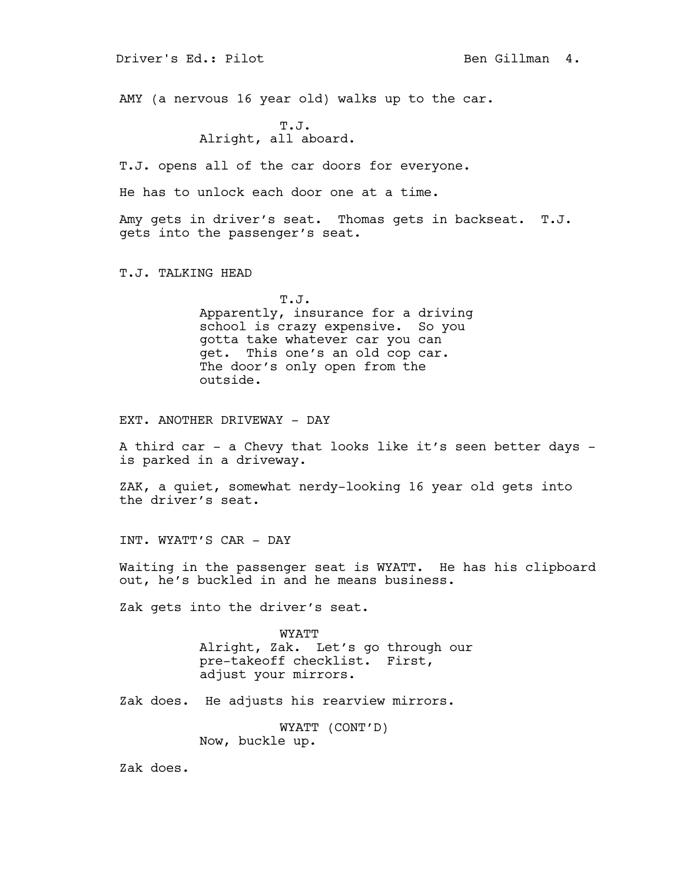Driver's Ed.: Pilot Ben Gillman 4.

AMY (a nervous 16 year old) walks up to the car.

T.J. Alright, all aboard.

T.J. opens all of the car doors for everyone.

He has to unlock each door one at a time.

Amy gets in driver's seat. Thomas gets in backseat. T.J. gets into the passenger's seat.

T.J. TALKING HEAD

T.J. Apparently, insurance for a driving school is crazy expensive. So you gotta take whatever car you can get. This one's an old cop car. The door's only open from the outside.

EXT. ANOTHER DRIVEWAY - DAY

A third car - a Chevy that looks like it's seen better days is parked in a driveway.

ZAK, a quiet, somewhat nerdy-looking 16 year old gets into the driver's seat.

INT. WYATT'S CAR - DAY

Waiting in the passenger seat is WYATT. He has his clipboard out, he's buckled in and he means business.

Zak gets into the driver's seat.

WYATT Alright, Zak. Let's go through our pre-takeoff checklist. First, adjust your mirrors.

Zak does. He adjusts his rearview mirrors.

WYATT (CONT'D) Now, buckle up.

Zak does.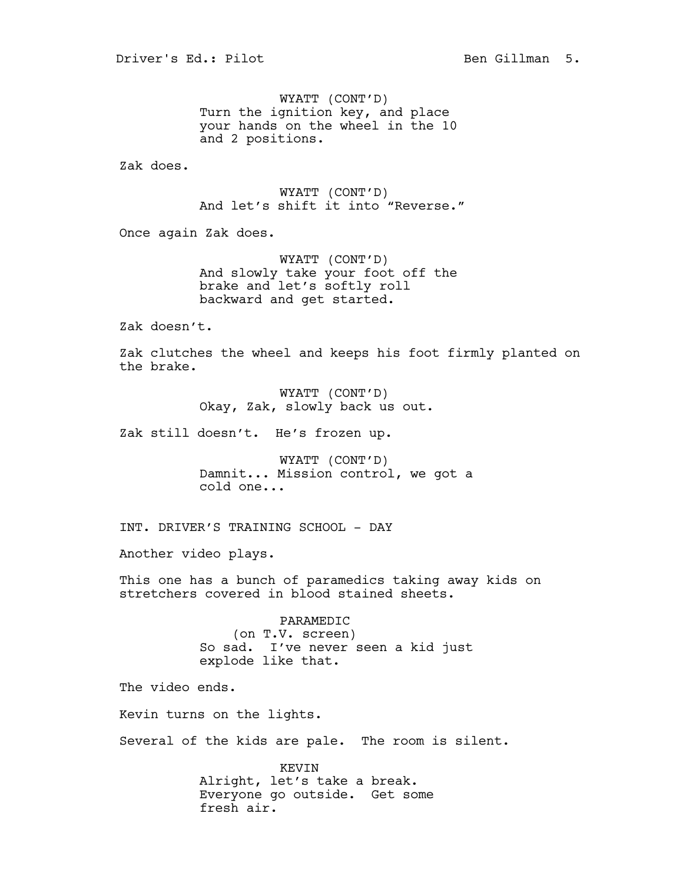WYATT (CONT'D) Turn the ignition key, and place your hands on the wheel in the 10 and 2 positions.

Zak does.

WYATT (CONT'D) And let's shift it into "Reverse."

Once again Zak does.

WYATT (CONT'D) And slowly take your foot off the brake and let's softly roll backward and get started.

Zak doesn't.

Zak clutches the wheel and keeps his foot firmly planted on the brake.

> WYATT (CONT'D) Okay, Zak, slowly back us out.

Zak still doesn't. He's frozen up.

WYATT (CONT'D) Damnit... Mission control, we got a cold one...

INT. DRIVER'S TRAINING SCHOOL - DAY

Another video plays.

This one has a bunch of paramedics taking away kids on stretchers covered in blood stained sheets.

> PARAMEDIC (on T.V. screen) So sad. I've never seen a kid just explode like that.

The video ends.

Kevin turns on the lights.

Several of the kids are pale. The room is silent.

KEVIN Alright, let's take a break. Everyone go outside. Get some fresh air.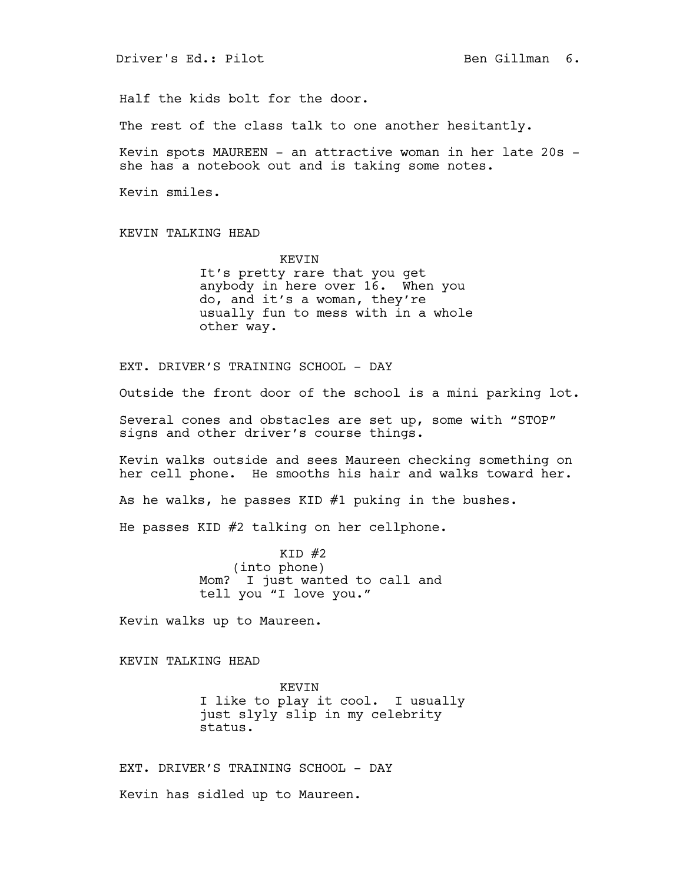Half the kids bolt for the door.

The rest of the class talk to one another hesitantly.

Kevin spots MAUREEN - an attractive woman in her late 20s she has a notebook out and is taking some notes.

Kevin smiles.

KEVIN TALKING HEAD

KEVIN It's pretty rare that you get anybody in here over 16. When you do, and it's a woman, they're usually fun to mess with in a whole other way.

EXT. DRIVER'S TRAINING SCHOOL - DAY

Outside the front door of the school is a mini parking lot.

Several cones and obstacles are set up, some with "STOP" signs and other driver's course things.

Kevin walks outside and sees Maureen checking something on her cell phone. He smooths his hair and walks toward her.

As he walks, he passes KID #1 puking in the bushes.

He passes KID #2 talking on her cellphone.

 $KID$   $#2$ (into phone) Mom? I just wanted to call and tell you "I love you."

Kevin walks up to Maureen.

KEVIN TALKING HEAD

KEVIN I like to play it cool. I usually just slyly slip in my celebrity status.

EXT. DRIVER'S TRAINING SCHOOL - DAY

Kevin has sidled up to Maureen.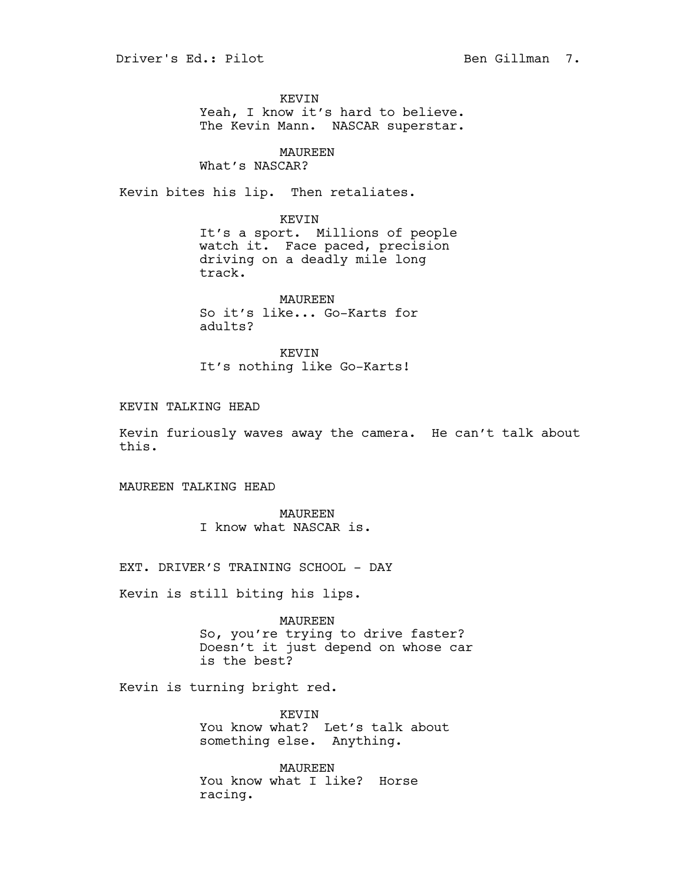KEVIN Yeah, I know it's hard to believe. The Kevin Mann. NASCAR superstar.

### MAUREEN

What's NASCAR?

Kevin bites his lip. Then retaliates.

KEVIN

It's a sport. Millions of people watch it. Face paced, precision driving on a deadly mile long track.

MAUREEN So it's like... Go-Karts for adults?

KEVIN It's nothing like Go-Karts!

KEVIN TALKING HEAD

Kevin furiously waves away the camera. He can't talk about this.

MAUREEN TALKING HEAD

MAUREEN I know what NASCAR is.

EXT. DRIVER'S TRAINING SCHOOL - DAY

Kevin is still biting his lips.

MAUREEN So, you're trying to drive faster? Doesn't it just depend on whose car is the best?

Kevin is turning bright red.

KEVIN You know what? Let's talk about something else. Anything.

MAUREEN You know what I like? Horse racing.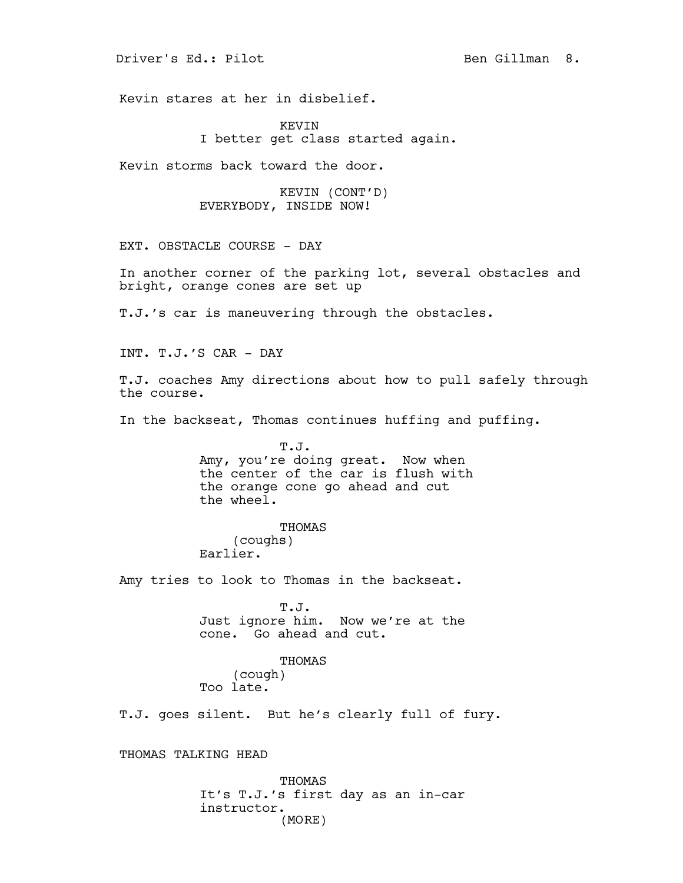Driver's Ed.: Pilot Ben Gillman 8.

Kevin stares at her in disbelief.

KEVIN I better get class started again.

Kevin storms back toward the door.

KEVIN (CONT'D) EVERYBODY, INSIDE NOW!

EXT. OBSTACLE COURSE - DAY

In another corner of the parking lot, several obstacles and bright, orange cones are set up

T.J.'s car is maneuvering through the obstacles.

INT. T.J.'S CAR - DAY

T.J. coaches Amy directions about how to pull safely through the course.

In the backseat, Thomas continues huffing and puffing.

T.J. Amy, you're doing great. Now when the center of the car is flush with the orange cone go ahead and cut the wheel.

THOMAS

(coughs)

Earlier.

Amy tries to look to Thomas in the backseat.

T.J. Just ignore him. Now we're at the cone. Go ahead and cut.

THOMAS

(cough) Too late.

T.J. goes silent. But he's clearly full of fury.

THOMAS TALKING HEAD

THOMAS It's T.J.'s first day as an in-car instructor. (MORE)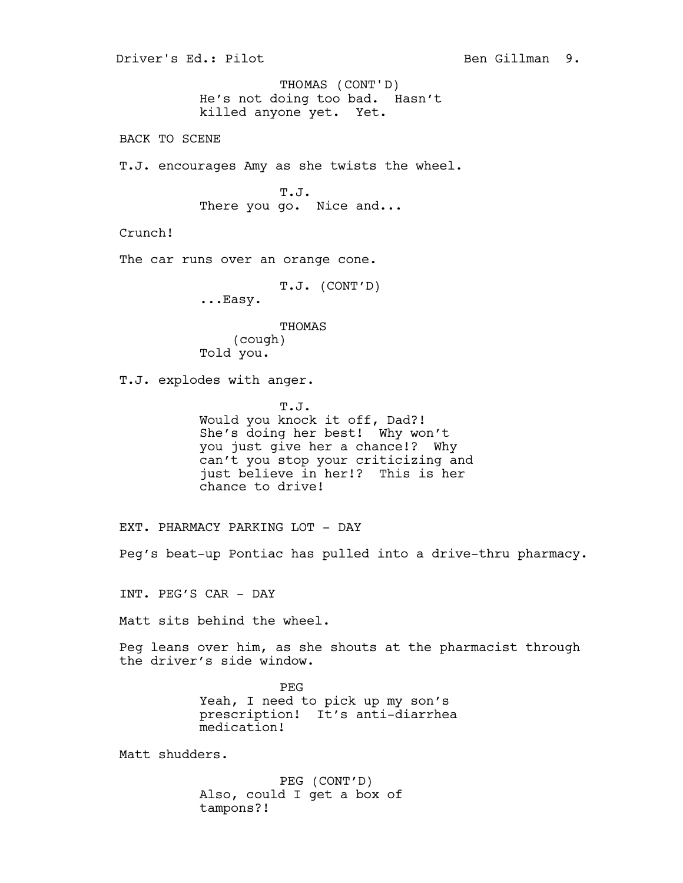He's not doing too bad. Hasn't killed anyone yet. Yet. BACK TO SCENE T.J. encourages Amy as she twists the wheel. T.J. There you go. Nice and... Crunch! The car runs over an orange cone. T.J. (CONT'D) ...Easy. THOMAS (cough) Told you. T.J. explodes with anger. T.J. Would you knock it off, Dad?! She's doing her best! Why won't you just give her a chance!? Why can't you stop your criticizing and just believe in her!? This is her chance to drive! EXT. PHARMACY PARKING LOT - DAY Peg's beat-up Pontiac has pulled into a drive-thru pharmacy. INT. PEG'S CAR - DAY Matt sits behind the wheel. Peg leans over him, as she shouts at the pharmacist through the driver's side window. PEG Yeah, I need to pick up my son's prescription! It's anti-diarrhea medication! Matt shudders. PEG (CONT'D) Also, could I get a box of tampons?! THOMAS (CONT'D)

Driver's Ed.: Pilot Ben Gillman 9.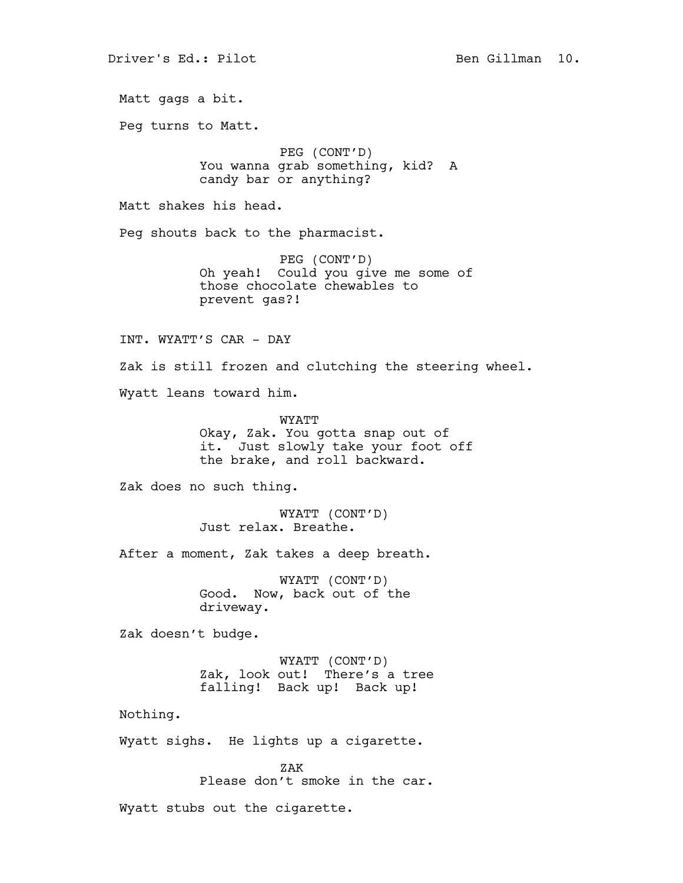Matt gags a bit. Peg turns to Matt. PEG (CONT'D) You wanna grab something, kid? A candy bar or anything? Matt shakes his head. Peg shouts back to the pharmacist. PEG (CONT'D) Oh yeah! Could you give me some of those chocolate chewables to prevent gas?! INT. WYATT'S CAR - DAY Zak is still frozen and clutching the steering wheel. Wyatt leans toward him. WYATT Okay, Zak. You gotta snap out of it. Just slowly take your foot off the brake, and roll backward. Zak does no such thing. WYATT (CONT'D) Just relax. Breathe. After a moment, Zak takes a deep breath. WYATT (CONT'D) Good. Now, back out of the driveway. Zak doesn't budge. WYATT (CONT'D) Zak, look out! There's a tree falling! Back up! Back up! Nothing. Wyatt sighs. He lights up a cigarette. ZAK Please don't smoke in the car.

Wyatt stubs out the cigarette.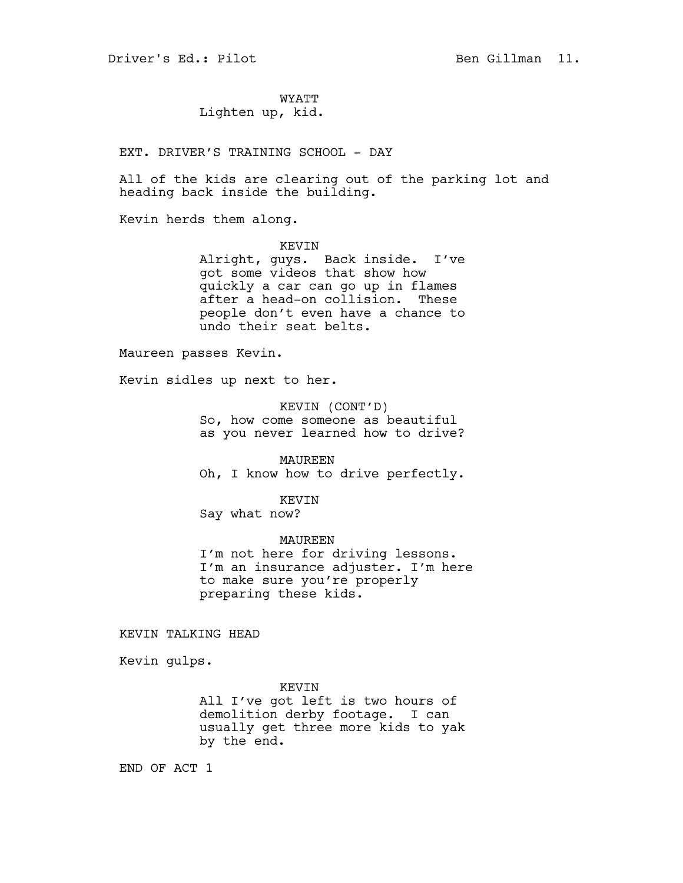WYATT Lighten up, kid.

EXT. DRIVER'S TRAINING SCHOOL - DAY

All of the kids are clearing out of the parking lot and heading back inside the building.

Kevin herds them along.

KEVIN Alright, guys. Back inside. I've got some videos that show how quickly a car can go up in flames after a head-on collision. These people don't even have a chance to undo their seat belts.

Maureen passes Kevin.

Kevin sidles up next to her.

KEVIN (CONT'D) So, how come someone as beautiful as you never learned how to drive?

MAUREEN

Oh, I know how to drive perfectly.

KEVIN

Say what now?

MAUREEN I'm not here for driving lessons. I'm an insurance adjuster. I'm here to make sure you're properly preparing these kids.

KEVIN TALKING HEAD

Kevin gulps.

KEVIN All I've got left is two hours of demolition derby footage. I can usually get three more kids to yak by the end.

END OF ACT 1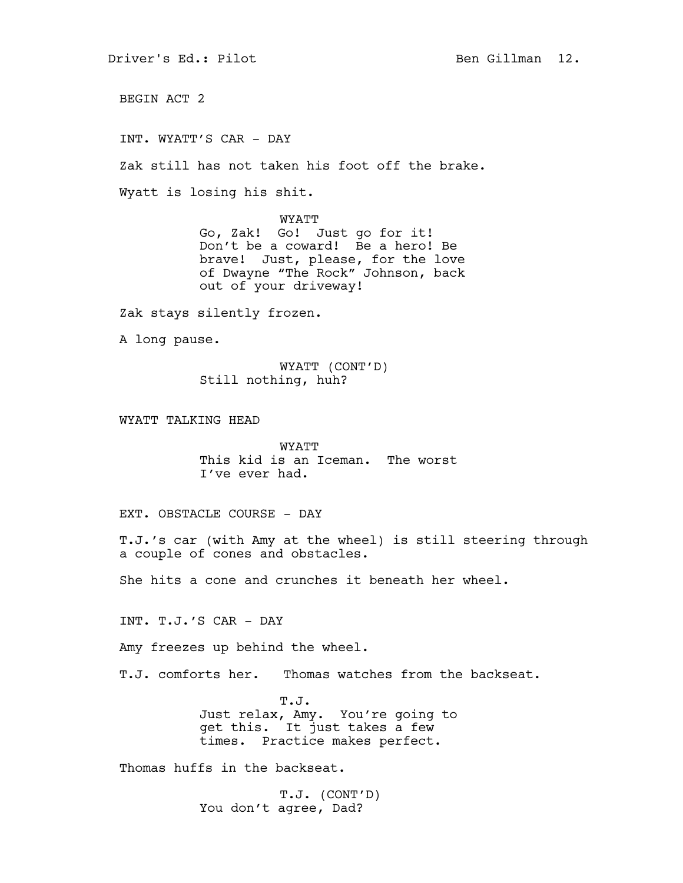BEGIN ACT 2

INT. WYATT'S CAR - DAY

Zak still has not taken his foot off the brake.

Wyatt is losing his shit.

WYATT Go, Zak! Go! Just go for it! Don't be a coward! Be a hero! Be brave! Just, please, for the love of Dwayne "The Rock" Johnson, back out of your driveway!

Zak stays silently frozen.

A long pause.

WYATT (CONT'D) Still nothing, huh?

WYATT TALKING HEAD

WYATT This kid is an Iceman. The worst I've ever had.

EXT. OBSTACLE COURSE - DAY

T.J.'s car (with Amy at the wheel) is still steering through a couple of cones and obstacles.

She hits a cone and crunches it beneath her wheel.

INT. T.J.'S CAR - DAY

Amy freezes up behind the wheel.

T.J. comforts her. Thomas watches from the backseat.

T.J. Just relax, Amy. You're going to get this. It just takes a few times. Practice makes perfect.

Thomas huffs in the backseat.

T.J. (CONT'D) You don't agree, Dad?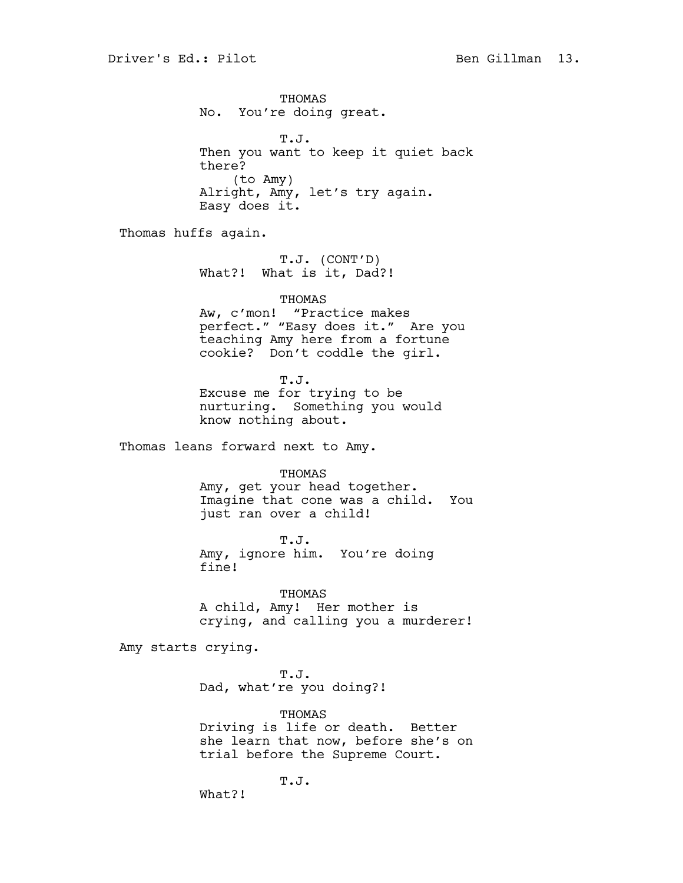THOMAS No. You're doing great. T.J. Then you want to keep it quiet back there? (to Amy) Alright, Amy, let's try again. Easy does it. Thomas huffs again. T.J. (CONT'D) What?! What is it, Dad?! THOMAS Aw, c'mon! "Practice makes perfect." "Easy does it." Are you teaching Amy here from a fortune cookie? Don't coddle the girl. T.J. Excuse me for trying to be nurturing. Something you would know nothing about. Thomas leans forward next to Amy. THOMAS Amy, get your head together. Imagine that cone was a child. You just ran over a child! T.J. Amy, ignore him. You're doing fine! THOMAS A child, Amy! Her mother is crying, and calling you a murderer! Amy starts crying.

> T.J. Dad, what're you doing?!

THOMAS Driving is life or death. Better she learn that now, before she's on trial before the Supreme Court.

T.J.

What?!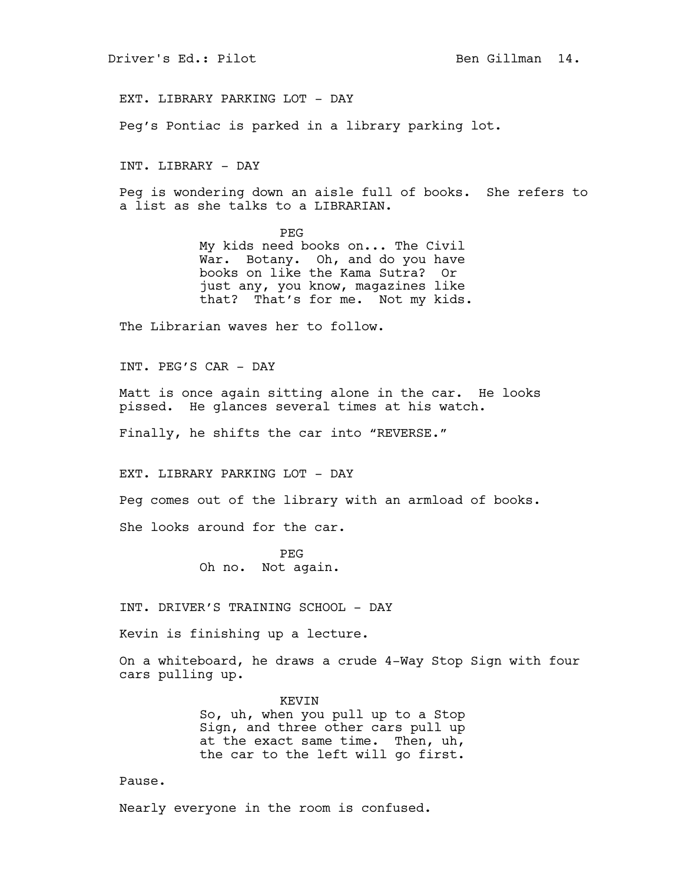EXT. LIBRARY PARKING LOT - DAY

Peg's Pontiac is parked in a library parking lot.

INT. LIBRARY - DAY

Peg is wondering down an aisle full of books. She refers to a list as she talks to a LIBRARIAN.

> PEG My kids need books on... The Civil War. Botany. Oh, and do you have books on like the Kama Sutra? Or just any, you know, magazines like that? That's for me. Not my kids.

The Librarian waves her to follow.

INT. PEG'S CAR - DAY

Matt is once again sitting alone in the car. He looks pissed. He glances several times at his watch.

Finally, he shifts the car into "REVERSE."

EXT. LIBRARY PARKING LOT - DAY

Peg comes out of the library with an armload of books.

She looks around for the car.

PEG Oh no. Not again.

INT. DRIVER'S TRAINING SCHOOL - DAY

Kevin is finishing up a lecture.

On a whiteboard, he draws a crude 4-Way Stop Sign with four cars pulling up.

> KEVIN So, uh, when you pull up to a Stop Sign, and three other cars pull up at the exact same time. Then, uh, the car to the left will go first.

Pause.

Nearly everyone in the room is confused.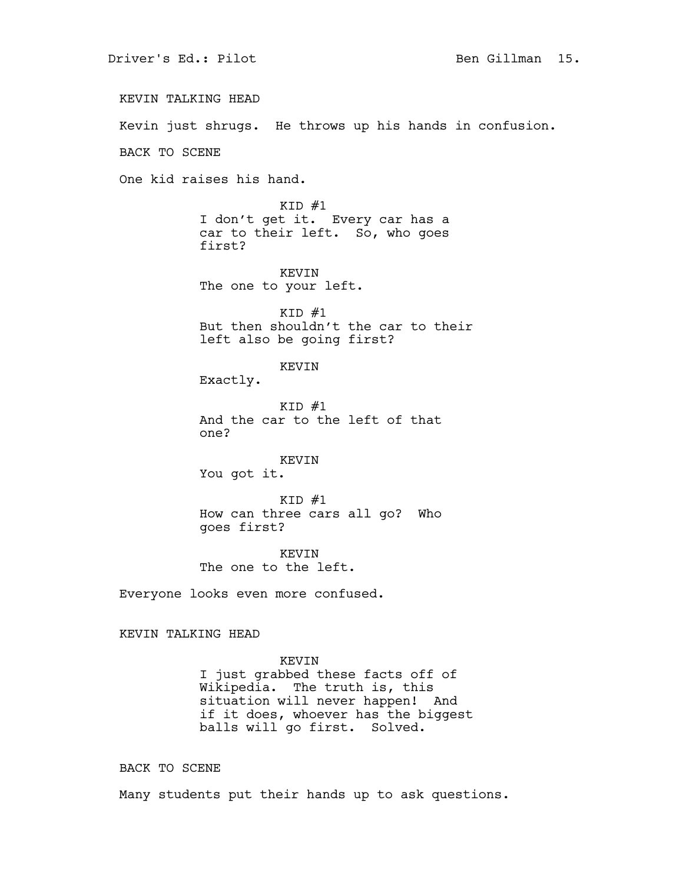KEVIN TALKING HEAD Kevin just shrugs. He throws up his hands in confusion. BACK TO SCENE One kid raises his hand.  $KID$   $#1$ I don't get it. Every car has a car to their left. So, who goes first? KEVIN The one to your left.  $KID$  #1 But then shouldn't the car to their left also be going first? KEVIN Exactly.  $KID$  #1 And the car to the left of that one? KEVIN You got it.  $KID$  #1 How can three cars all go? Who goes first? KEVIN The one to the left. Everyone looks even more confused. KEVIN TALKING HEAD KEVIN I just grabbed these facts off of Wikipedia. The truth is, this situation will never happen! And if it does, whoever has the biggest balls will go first. Solved.

BACK TO SCENE

Many students put their hands up to ask questions.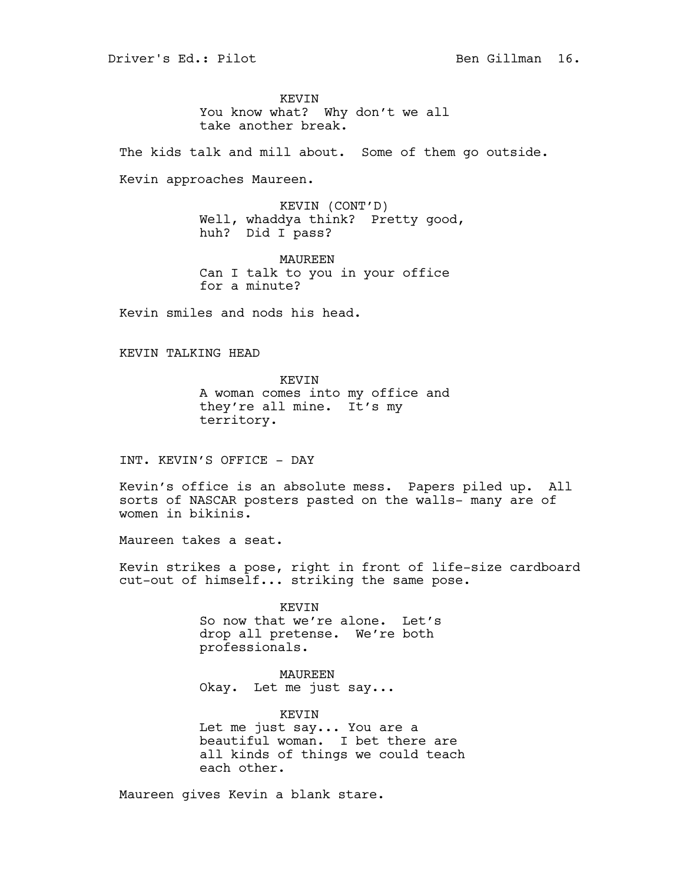KEVIN You know what? Why don't we all take another break.

The kids talk and mill about. Some of them go outside.

Kevin approaches Maureen.

KEVIN (CONT'D) Well, whaddya think? Pretty good, huh? Did I pass?

MAUREEN Can I talk to you in your office for a minute?

Kevin smiles and nods his head.

KEVIN TALKING HEAD

KEVIN A woman comes into my office and they're all mine. It's my territory.

INT. KEVIN'S OFFICE - DAY

Kevin's office is an absolute mess. Papers piled up. All sorts of NASCAR posters pasted on the walls- many are of women in bikinis.

Maureen takes a seat.

Kevin strikes a pose, right in front of life-size cardboard cut-out of himself... striking the same pose.

> KEVIN So now that we're alone. Let's drop all pretense. We're both professionals.

MAUREEN Okay. Let me just say...

KEVIN Let me just say... You are a beautiful woman. I bet there are all kinds of things we could teach each other.

Maureen gives Kevin a blank stare.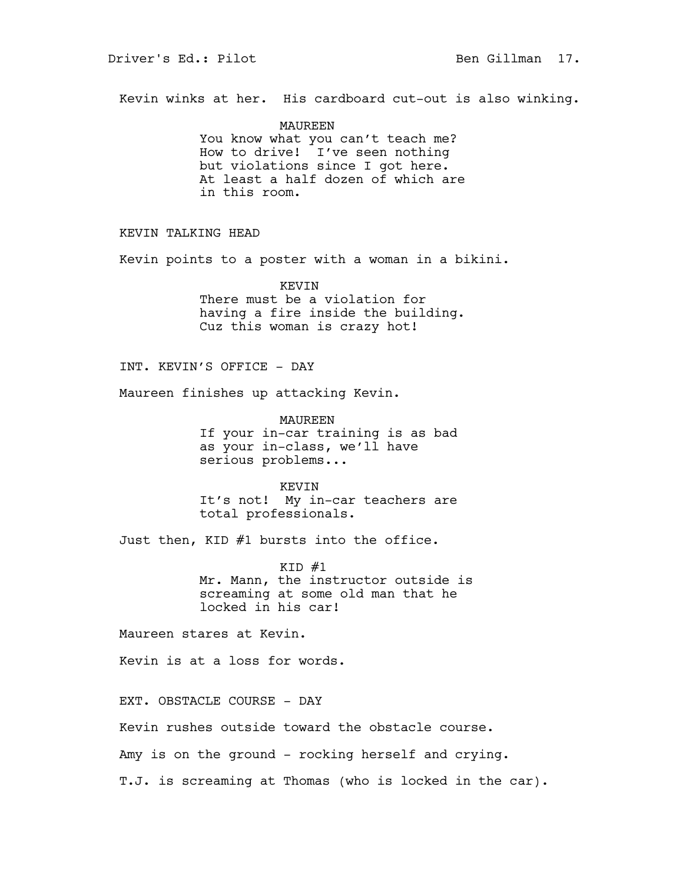Kevin winks at her. His cardboard cut-out is also winking.

MAUREEN You know what you can't teach me? How to drive! I've seen nothing but violations since I got here. At least a half dozen of which are in this room.

# KEVIN TALKING HEAD

Kevin points to a poster with a woman in a bikini.

KEVIN There must be a violation for having a fire inside the building. Cuz this woman is crazy hot!

INT. KEVIN'S OFFICE - DAY

Maureen finishes up attacking Kevin.

MAUREEN If your in-car training is as bad as your in-class, we'll have serious problems...

KEVIN It's not! My in-car teachers are total professionals.

Just then, KID #1 bursts into the office.

 $KID$   $#1$ Mr. Mann, the instructor outside is screaming at some old man that he locked in his car!

Maureen stares at Kevin.

Kevin is at a loss for words.

EXT. OBSTACLE COURSE - DAY

Kevin rushes outside toward the obstacle course.

Amy is on the ground - rocking herself and crying.

T.J. is screaming at Thomas (who is locked in the car).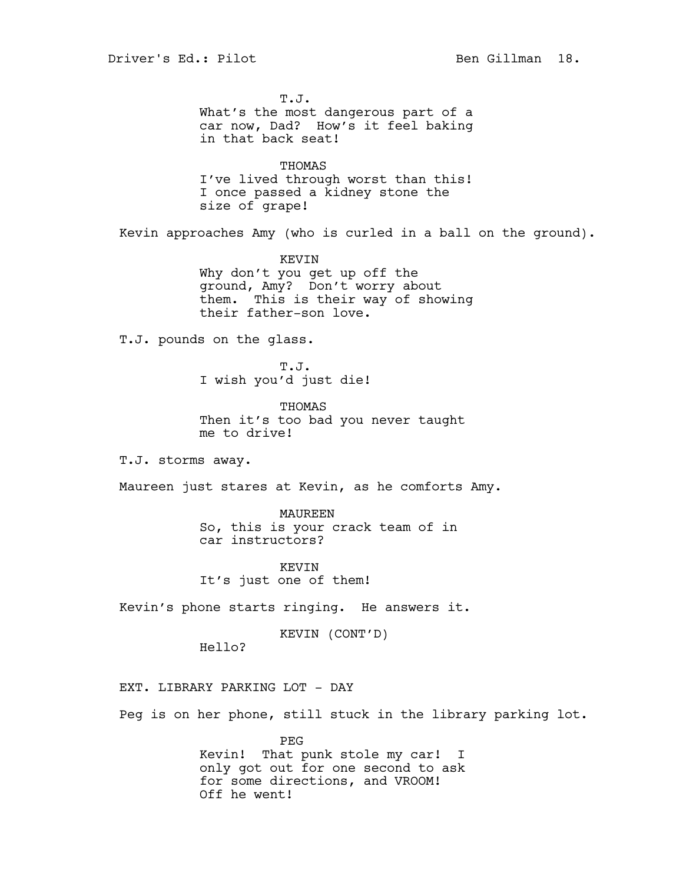T.J. What's the most dangerous part of a car now, Dad? How's it feel baking in that back seat! THOMAS I've lived through worst than this! I once passed a kidney stone the size of grape! Kevin approaches Amy (who is curled in a ball on the ground). KEVIN Why don't you get up off the ground, Amy? Don't worry about them. This is their way of showing their father-son love. T.J. pounds on the glass. T.J. I wish you'd just die! THOMAS Then it's too bad you never taught me to drive! T.J. storms away. Maureen just stares at Kevin, as he comforts Amy. MAUREEN So, this is your crack team of in car instructors? KEVIN It's just one of them! Kevin's phone starts ringing. He answers it. KEVIN (CONT'D) Hello? EXT. LIBRARY PARKING LOT - DAY Peg is on her phone, still stuck in the library parking lot.

PEG Kevin! That punk stole my car! I only got out for one second to ask for some directions, and VROOM! Off he went!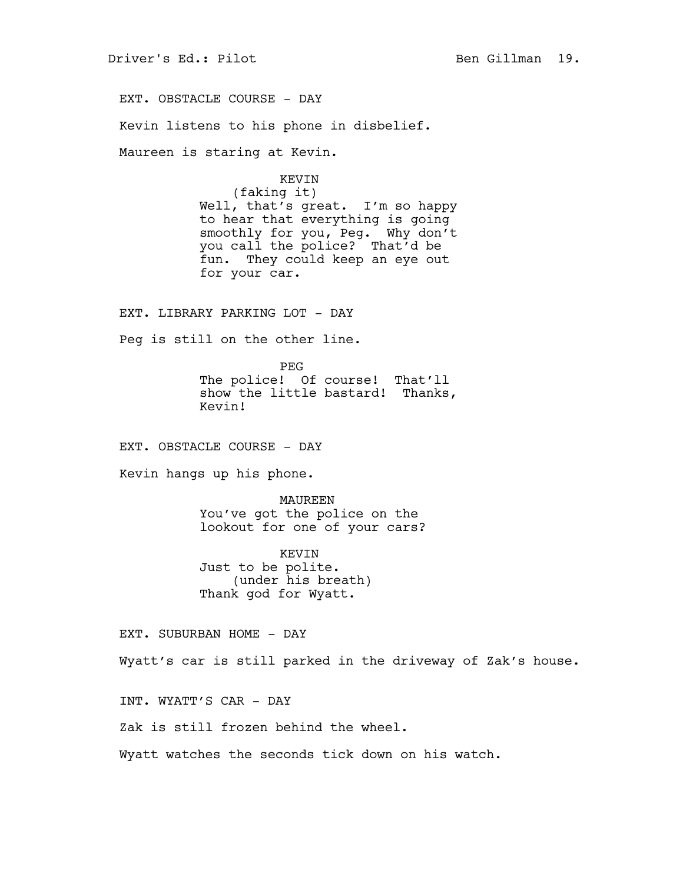EXT. OBSTACLE COURSE - DAY Kevin listens to his phone in disbelief. Maureen is staring at Kevin. KEVIN (faking it) Well, that's great. I'm so happy to hear that everything is going smoothly for you, Peg. Why don't you call the police? That'd be fun. They could keep an eye out for your car. EXT. LIBRARY PARKING LOT - DAY Peg is still on the other line. PEG The police! Of course! That'll show the little bastard! Thanks, Kevin! EXT. OBSTACLE COURSE - DAY Kevin hangs up his phone. MAUREEN You've got the police on the lookout for one of your cars? KEVIN Just to be polite. (under his breath) Thank god for Wyatt. EXT. SUBURBAN HOME - DAY Wyatt's car is still parked in the driveway of Zak's house. INT. WYATT'S CAR - DAY Zak is still frozen behind the wheel. Wyatt watches the seconds tick down on his watch.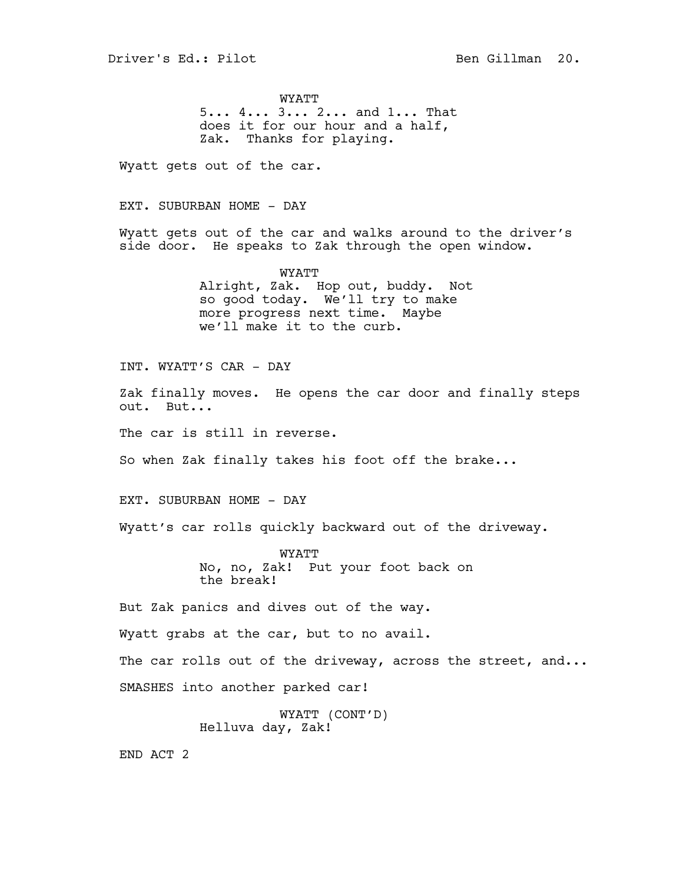WYATT 5... 4... 3... 2... and 1... That does it for our hour and a half, Zak. Thanks for playing.

Wyatt gets out of the car.

EXT. SUBURBAN HOME - DAY

Wyatt gets out of the car and walks around to the driver's side door. He speaks to Zak through the open window.

> WYATT Alright, Zak. Hop out, buddy. Not so good today. We'll try to make more progress next time. Maybe we'll make it to the curb.

INT. WYATT'S CAR - DAY

Zak finally moves. He opens the car door and finally steps out. But...

The car is still in reverse.

So when Zak finally takes his foot off the brake...

EXT. SUBURBAN HOME - DAY

Wyatt's car rolls quickly backward out of the driveway.

WYATT No, no, Zak! Put your foot back on the break!

But Zak panics and dives out of the way.

Wyatt grabs at the car, but to no avail.

The car rolls out of the driveway, across the street, and...

SMASHES into another parked car!

WYATT (CONT'D) Helluva day, Zak!

END ACT 2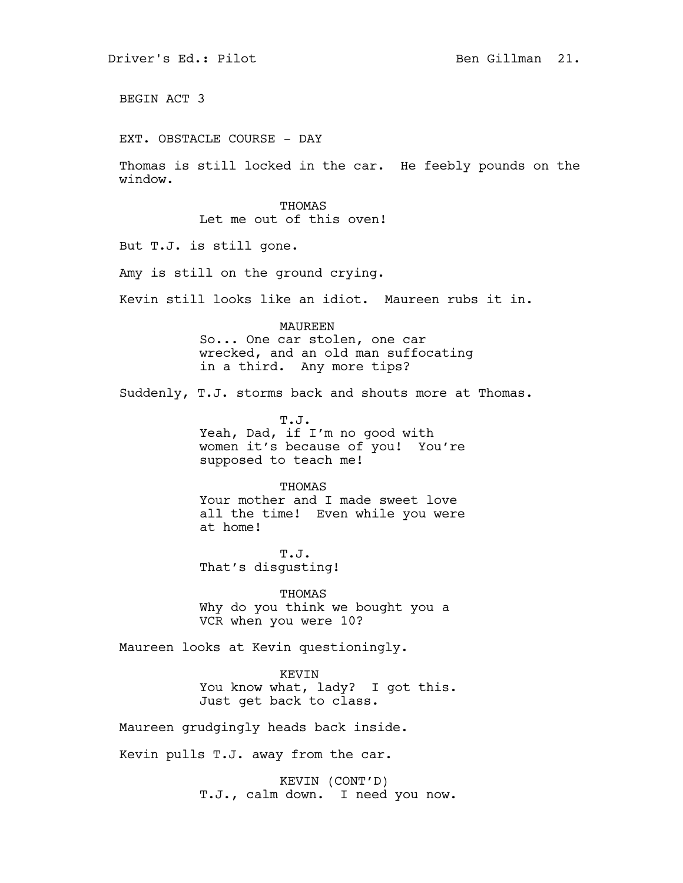BEGIN ACT 3

EXT. OBSTACLE COURSE - DAY

Thomas is still locked in the car. He feebly pounds on the window.

> **THOMAS** Let me out of this oven!

But T.J. is still gone.

Amy is still on the ground crying.

Kevin still looks like an idiot. Maureen rubs it in.

MAUREEN So... One car stolen, one car wrecked, and an old man suffocating in a third. Any more tips?

Suddenly, T.J. storms back and shouts more at Thomas.

T.J. Yeah, Dad, if I'm no good with women it's because of you! You're supposed to teach me!

### **THOMAS**

Your mother and I made sweet love all the time! Even while you were at home!

T.J. That's disgusting!

THOMAS Why do you think we bought you a VCR when you were 10?

Maureen looks at Kevin questioningly.

KEVIN You know what, lady? I got this. Just get back to class.

Maureen grudgingly heads back inside.

Kevin pulls T.J. away from the car.

KEVIN (CONT'D) T.J., calm down. I need you now.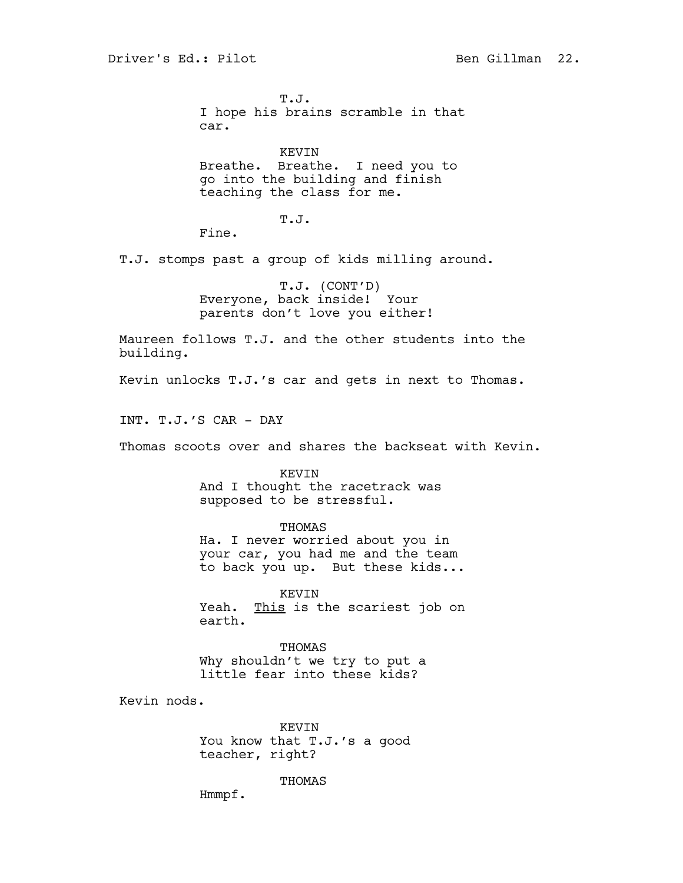T.J. I hope his brains scramble in that car.

KEVIN Breathe. Breathe. I need you to go into the building and finish teaching the class for me.

T.J.

Fine.

T.J. stomps past a group of kids milling around.

T.J. (CONT'D) Everyone, back inside! Your parents don't love you either!

Maureen follows T.J. and the other students into the building.

Kevin unlocks T.J.'s car and gets in next to Thomas.

INT. T.J.'S CAR - DAY

Thomas scoots over and shares the backseat with Kevin.

KEVIN And I thought the racetrack was supposed to be stressful.

THOMAS Ha. I never worried about you in your car, you had me and the team to back you up. But these kids...

KEVIN Yeah. This is the scariest job on earth.

THOMAS Why shouldn't we try to put a little fear into these kids?

Kevin nods.

KEVIN You know that T.J.'s a good teacher, right?

**THOMAS** 

Hmmpf.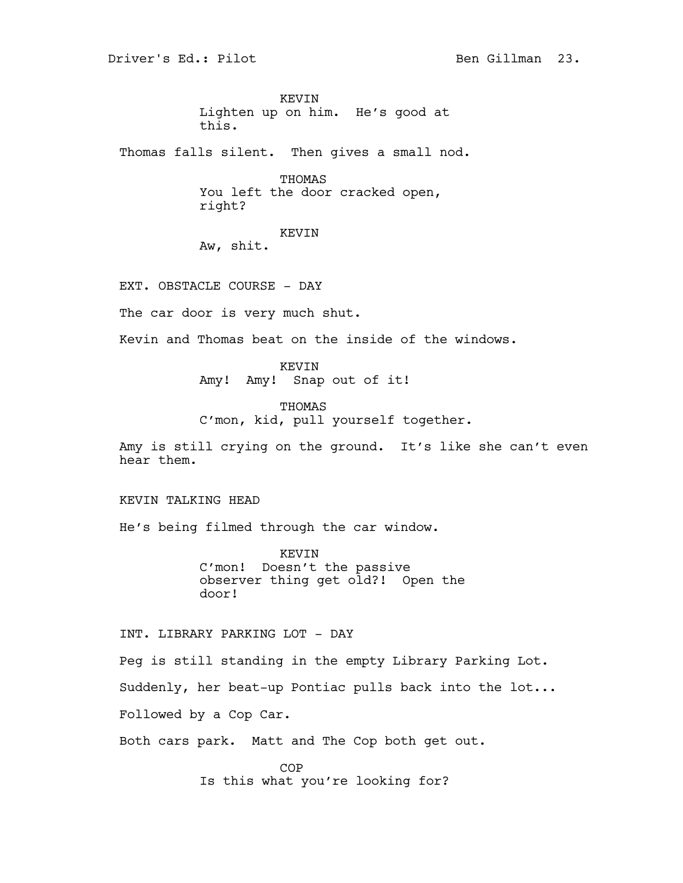KEVIN Lighten up on him. He's good at this.

Thomas falls silent. Then gives a small nod.

THOMAS You left the door cracked open, right?

KEVIN

Aw, shit.

EXT. OBSTACLE COURSE - DAY

The car door is very much shut.

Kevin and Thomas beat on the inside of the windows.

KEVIN Amy! Amy! Snap out of it!

THOMAS C'mon, kid, pull yourself together.

Amy is still crying on the ground. It's like she can't even hear them.

# KEVIN TALKING HEAD

He's being filmed through the car window.

KEVIN C'mon! Doesn't the passive observer thing get old?! Open the door!

INT. LIBRARY PARKING LOT - DAY

Peg is still standing in the empty Library Parking Lot.

Suddenly, her beat-up Pontiac pulls back into the lot...

Followed by a Cop Car.

Both cars park. Matt and The Cop both get out.

COP Is this what you're looking for?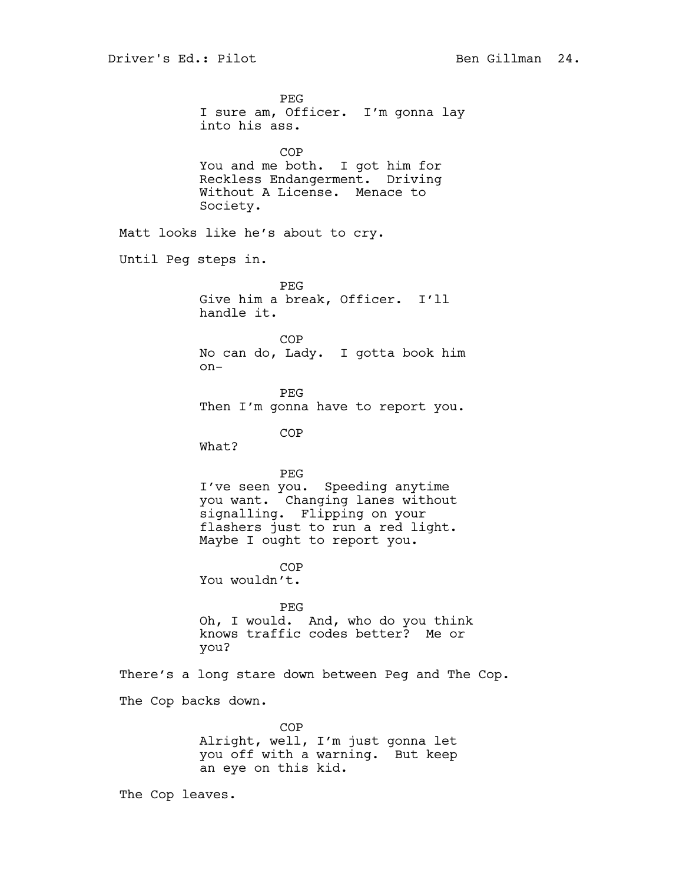PEG I sure am, Officer. I'm gonna lay into his ass. COP You and me both. I got him for Reckless Endangerment. Driving Without A License. Menace to Society. Matt looks like he's about to cry. Until Peg steps in. PEG Give him a break, Officer. I'll handle it. COP No can do, Lady. I gotta book him on-PEG Then I'm gonna have to report you. COP What? PEG I've seen you. Speeding anytime you want. Changing lanes without signalling. Flipping on your flashers just to run a red light. Maybe I ought to report you. COP You wouldn't. PEG Oh, I would. And, who do you think knows traffic codes better? Me or you? There's a long stare down between Peg and The Cop. The Cop backs down. COP Alright, well, I'm just gonna let you off with a warning. But keep an eye on this kid. The Cop leaves.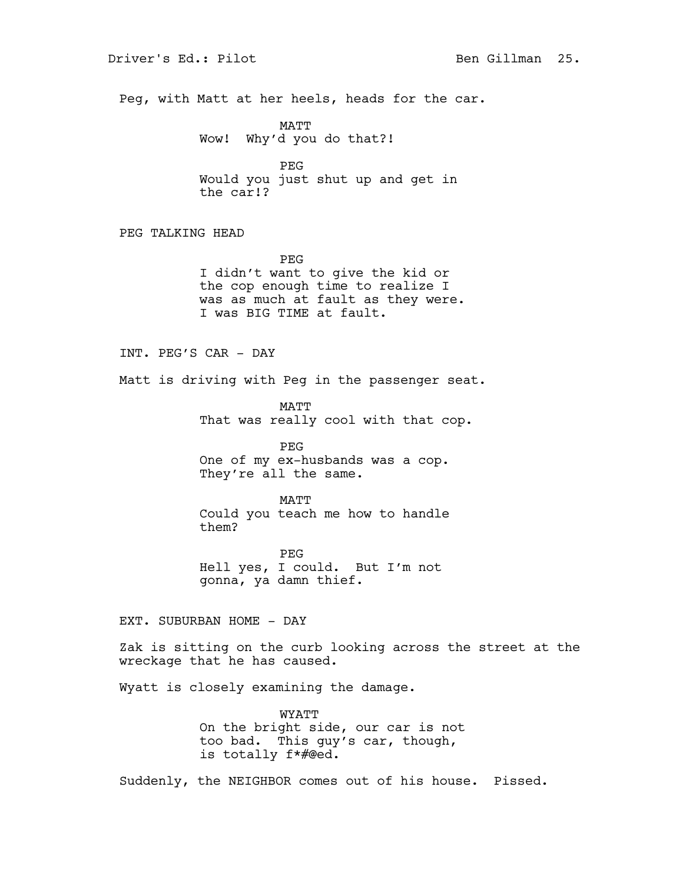Peg, with Matt at her heels, heads for the car.

MATT Wow! Why'd you do that?!

PEG Would you just shut up and get in the car!?

PEG TALKING HEAD

PEG I didn't want to give the kid or the cop enough time to realize I was as much at fault as they were. I was BIG TIME at fault.

INT. PEG'S CAR - DAY

Matt is driving with Peg in the passenger seat.

MATT That was really cool with that cop.

PEG One of my ex-husbands was a cop. They're all the same.

MATT Could you teach me how to handle them?

PEG Hell yes, I could. But I'm not gonna, ya damn thief.

EXT. SUBURBAN HOME - DAY

Zak is sitting on the curb looking across the street at the wreckage that he has caused.

Wyatt is closely examining the damage.

WYATT On the bright side, our car is not too bad. This guy's car, though, is totally f\*#@ed.

Suddenly, the NEIGHBOR comes out of his house. Pissed.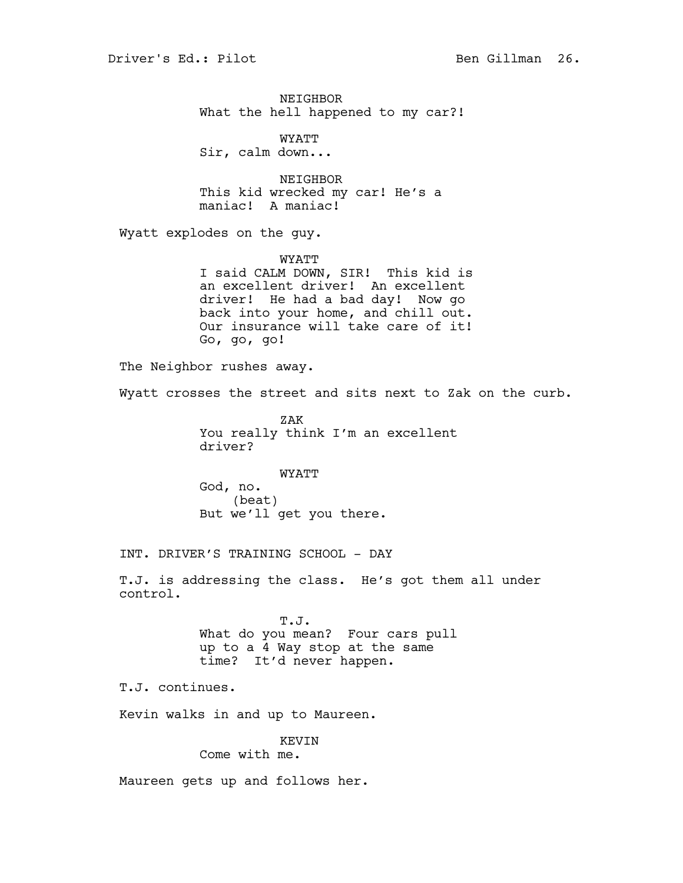NEIGHBOR What the hell happened to my car?!

WYATT Sir, calm down...

NEIGHBOR This kid wrecked my car! He's a maniac! A maniac!

Wyatt explodes on the guy.

WYATT I said CALM DOWN, SIR! This kid is an excellent driver! An excellent driver! He had a bad day! Now go back into your home, and chill out. Our insurance will take care of it! Go, go, go!

The Neighbor rushes away.

Wyatt crosses the street and sits next to Zak on the curb.

ZAK You really think I'm an excellent driver?

WYATT God, no. (beat) But we'll get you there.

INT. DRIVER'S TRAINING SCHOOL - DAY

T.J. is addressing the class. He's got them all under control.

> T.J. What do you mean? Four cars pull up to a 4 Way stop at the same time? It'd never happen.

T.J. continues.

Kevin walks in and up to Maureen.

## KEVIN

Come with me.

Maureen gets up and follows her.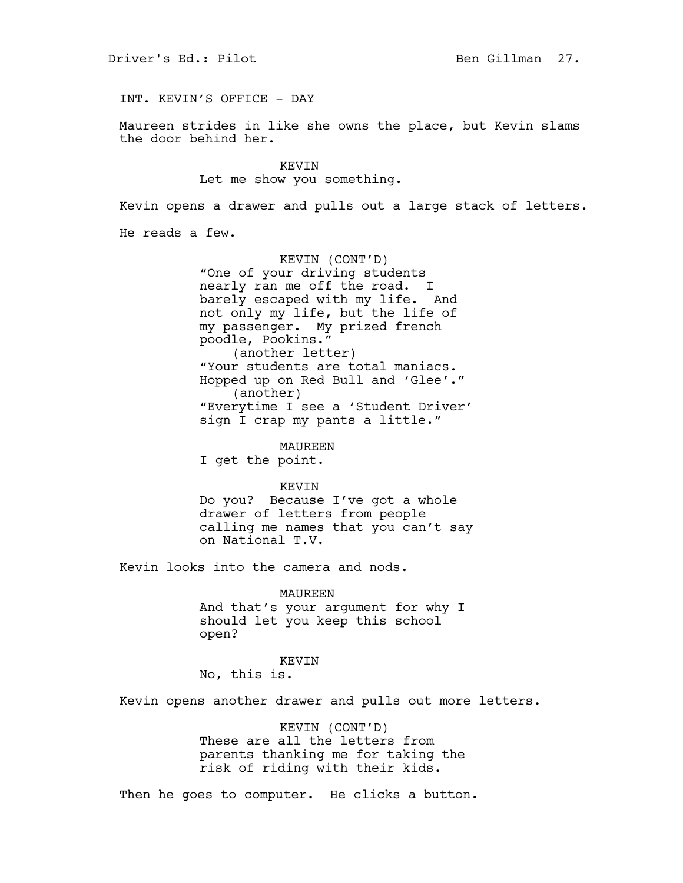INT. KEVIN'S OFFICE - DAY

Maureen strides in like she owns the place, but Kevin slams the door behind her.

> KEVIN Let me show you something.

Kevin opens a drawer and pulls out a large stack of letters.

He reads a few.

KEVIN (CONT'D) "One of your driving students nearly ran me off the road. I barely escaped with my life. And not only my life, but the life of my passenger. My prized french poodle, Pookins." (another letter) "Your students are total maniacs. Hopped up on Red Bull and 'Glee'." (another) "Everytime I see a 'Student Driver' sign I crap my pants a little."

MAUREEN

I get the point.

### KEVIN

Do you? Because I've got a whole drawer of letters from people calling me names that you can't say on National T.V.

Kevin looks into the camera and nods.

MAUREEN

And that's your argument for why I should let you keep this school open?

#### KEVIN

No, this is.

Kevin opens another drawer and pulls out more letters.

KEVIN (CONT'D) These are all the letters from parents thanking me for taking the risk of riding with their kids.

Then he goes to computer. He clicks a button.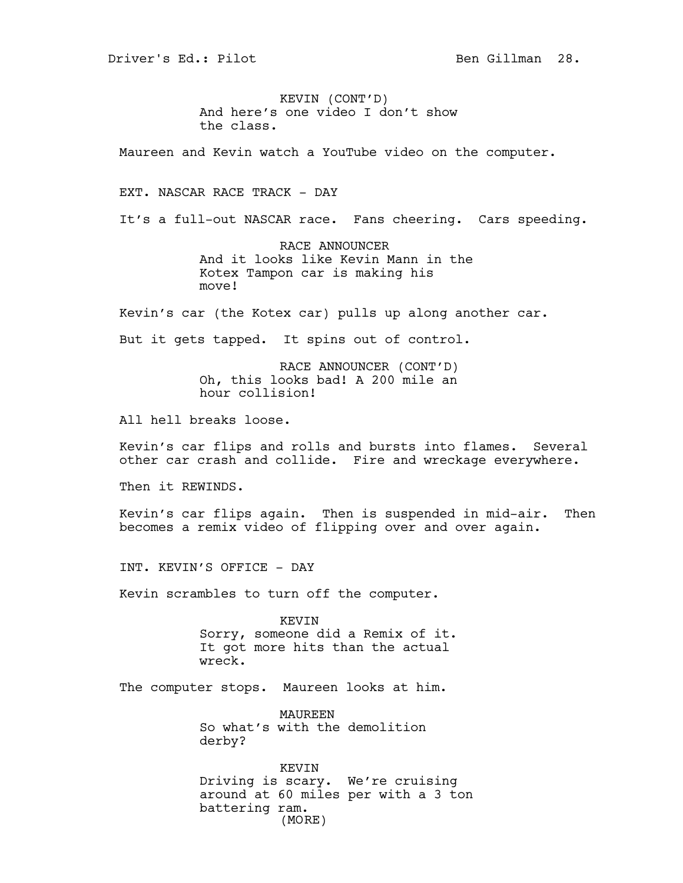Driver's Ed.: Pilot Ben Gillman 28.

KEVIN (CONT'D) And here's one video I don't show the class.

Maureen and Kevin watch a YouTube video on the computer.

EXT. NASCAR RACE TRACK - DAY

It's a full-out NASCAR race. Fans cheering. Cars speeding.

RACE ANNOUNCER And it looks like Kevin Mann in the Kotex Tampon car is making his move!

Kevin's car (the Kotex car) pulls up along another car.

But it gets tapped. It spins out of control.

RACE ANNOUNCER (CONT'D) Oh, this looks bad! A 200 mile an hour collision!

All hell breaks loose.

Kevin's car flips and rolls and bursts into flames. Several other car crash and collide. Fire and wreckage everywhere.

Then it REWINDS.

Kevin's car flips again. Then is suspended in mid-air. Then becomes a remix video of flipping over and over again.

INT. KEVIN'S OFFICE - DAY

Kevin scrambles to turn off the computer.

KEVIN Sorry, someone did a Remix of it. It got more hits than the actual wreck.

The computer stops. Maureen looks at him.

MAUREEN So what's with the demolition derby?

KEVIN Driving is scary. We're cruising around at 60 miles per with a 3 ton battering ram. (MORE)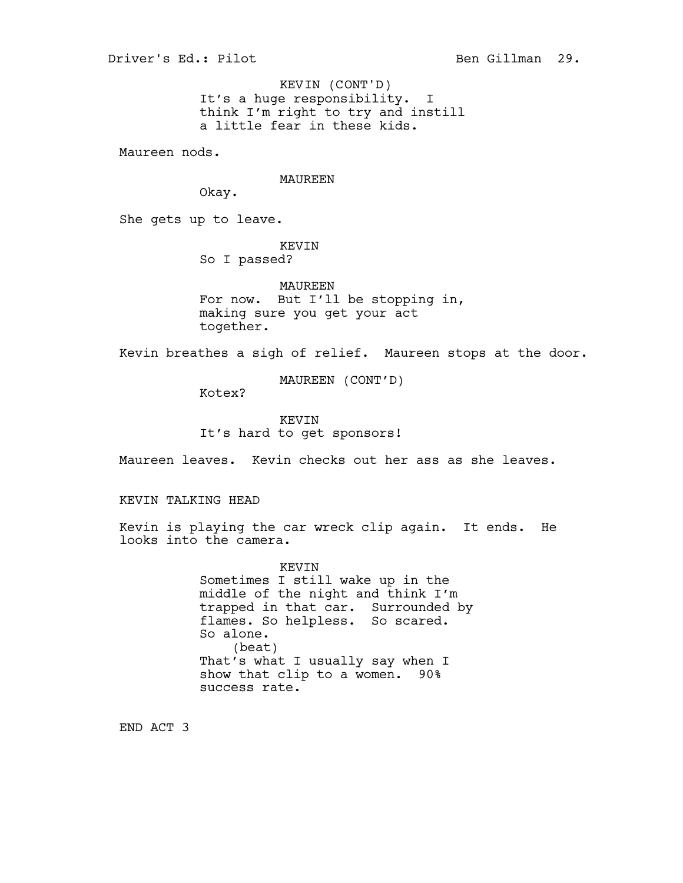It's a huge responsibility. I think I'm right to try and instill a little fear in these kids. KEVIN (CONT'D)

Maureen nods.

### MAUREEN

Okay.

She gets up to leave.

# KEVIN

So I passed?

MAUREEN For now. But I'll be stopping in, making sure you get your act together.

Kevin breathes a sigh of relief. Maureen stops at the door.

MAUREEN (CONT'D)

Kotex?

# KEVIN It's hard to get sponsors!

Maureen leaves. Kevin checks out her ass as she leaves.

# KEVIN TALKING HEAD

Kevin is playing the car wreck clip again. It ends. He looks into the camera.

# KEVIN Sometimes I still wake up in the middle of the night and think I'm trapped in that car. Surrounded by flames. So helpless. So scared. So alone. (beat) That's what I usually say when I show that clip to a women. 90% success rate.

END ACT 3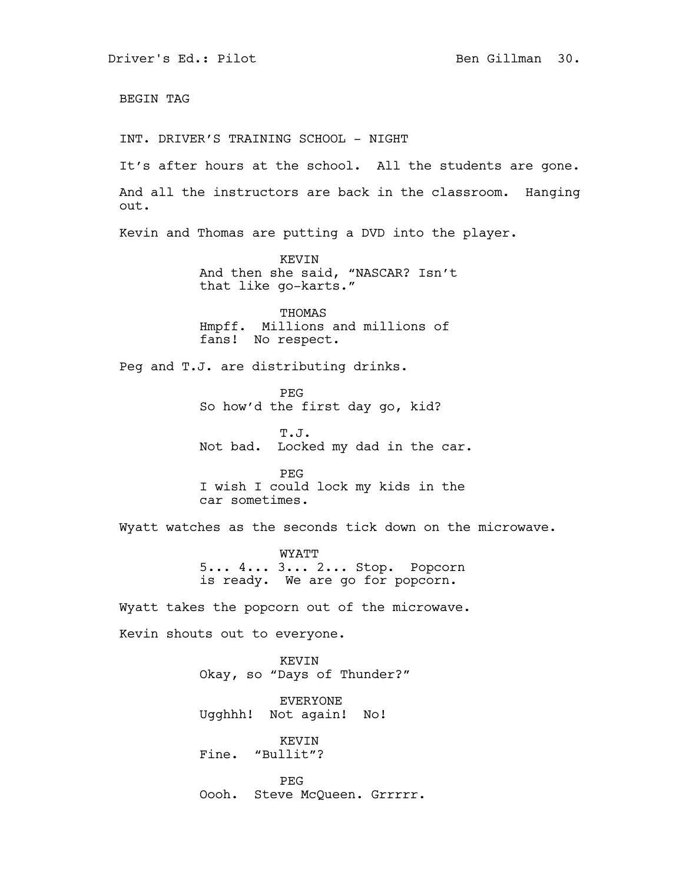BEGIN TAG INT. DRIVER'S TRAINING SCHOOL - NIGHT It's after hours at the school. All the students are gone. And all the instructors are back in the classroom. Hanging out. Kevin and Thomas are putting a DVD into the player. KEVIN And then she said, "NASCAR? Isn't that like go-karts." THOMAS Hmpff. Millions and millions of fans! No respect. Peg and T.J. are distributing drinks. PEG So how'd the first day go, kid? T.J. Not bad. Locked my dad in the car. PEG I wish I could lock my kids in the car sometimes. Wyatt watches as the seconds tick down on the microwave. WYATT 5... 4... 3... 2... Stop. Popcorn is ready. We are go for popcorn. Wyatt takes the popcorn out of the microwave. Kevin shouts out to everyone. KEVIN Okay, so "Days of Thunder?" EVERYONE Ugghhh! Not again! No! KEVIN Fine. "Bullit"? PEG Oooh. Steve McQueen. Grrrrr.